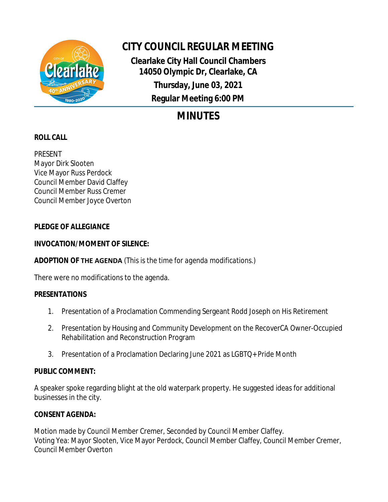

# **CITY COUNCIL REGULAR MEETING**

**Clearlake City Hall Council Chambers 14050 Olympic Dr, Clearlake, CA Thursday, June 03, 2021 Regular Meeting 6:00 PM**

# **MINUTES**

## **ROLL CALL**

PRESENT Mayor Dirk Slooten Vice Mayor Russ Perdock Council Member David Claffey Council Member Russ Cremer Council Member Joyce Overton

### **PLEDGE OF ALLEGIANCE**

### **INVOCATION/MOMENT OF SILENCE:**

## **ADOPTION OF THE AGENDA** *(This is the time for agenda modifications.)*

There were no modifications to the agenda.

## **PRESENTATIONS**

- 1. Presentation of a Proclamation Commending Sergeant Rodd Joseph on His Retirement
- 2. Presentation by Housing and Community Development on the RecoverCA Owner-Occupied Rehabilitation and Reconstruction Program
- 3. Presentation of a Proclamation Declaring June 2021 as LGBTQ+ Pride Month

#### **PUBLIC COMMENT:**

A speaker spoke regarding blight at the old waterpark property. He suggested ideas for additional businesses in the city.

## **CONSENT AGENDA:**

Motion made by Council Member Cremer, Seconded by Council Member Claffey. Voting Yea: Mayor Slooten, Vice Mayor Perdock, Council Member Claffey, Council Member Cremer, Council Member Overton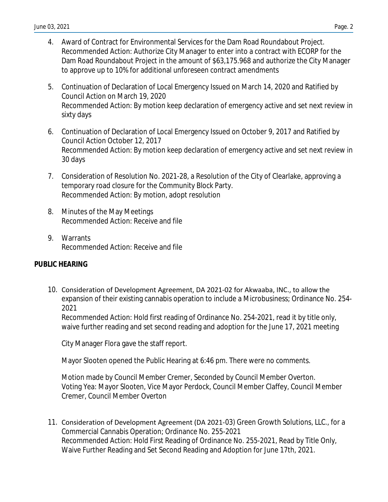- 4. Award of Contract for Environmental Services for the Dam Road Roundabout Project. Recommended Action: Authorize City Manager to enter into a contract with ECORP for the Dam Road Roundabout Project in the amount of \$63,175.968 and authorize the City Manager to approve up to 10% for additional unforeseen contract amendments
- 5. Continuation of Declaration of Local Emergency Issued on March 14, 2020 and Ratified by Council Action on March 19, 2020 Recommended Action: By motion keep declaration of emergency active and set next review in sixty days
- 6. Continuation of Declaration of Local Emergency Issued on October 9, 2017 and Ratified by Council Action October 12, 2017 Recommended Action: By motion keep declaration of emergency active and set next review in 30 days
- 7. Consideration of Resolution No. 2021-28, a Resolution of the City of Clearlake, approving a temporary road closure for the Community Block Party. Recommended Action: By motion, adopt resolution
- 8. Minutes of the May Meetings Recommended Action: Receive and file
- 9. Warrants Recommended Action: Receive and file

#### **PUBLIC HEARING**

10. Consideration of Development Agreement, DA 2021-02 for Akwaaba, INC., to allow the expansion of their existing cannabis operation to include a Microbusiness; Ordinance No. 254- 2021

Recommended Action: Hold first reading of Ordinance No. 254-2021, read it by title only, waive further reading and set second reading and adoption for the June 17, 2021 meeting

City Manager Flora gave the staff report.

Mayor Slooten opened the Public Hearing at 6:46 pm. There were no comments.

Motion made by Council Member Cremer, Seconded by Council Member Overton. Voting Yea: Mayor Slooten, Vice Mayor Perdock, Council Member Claffey, Council Member Cremer, Council Member Overton

11. Consideration of Development Agreement (DA 2021-03) Green Growth Solutions, LLC., for a Commercial Cannabis Operation; Ordinance No. 255-2021 Recommended Action: Hold First Reading of Ordinance No. 255-2021, Read by Title Only, Waive Further Reading and Set Second Reading and Adoption for June 17th, 2021.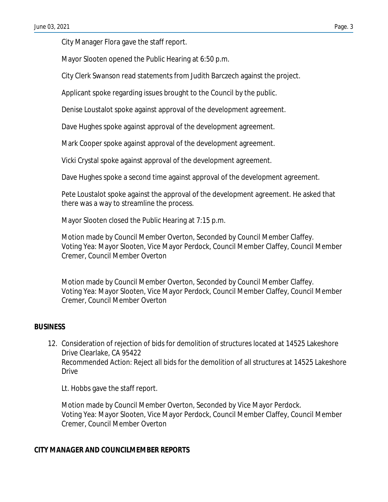City Manager Flora gave the staff report.

Mayor Slooten opened the Public Hearing at 6:50 p.m.

City Clerk Swanson read statements from Judith Barczech against the project.

Applicant spoke regarding issues brought to the Council by the public.

Denise Loustalot spoke against approval of the development agreement.

Dave Hughes spoke against approval of the development agreement.

Mark Cooper spoke against approval of the development agreement.

Vicki Crystal spoke against approval of the development agreement.

Dave Hughes spoke a second time against approval of the development agreement.

Pete Loustalot spoke against the approval of the development agreement. He asked that there was a way to streamline the process.

Mayor Slooten closed the Public Hearing at 7:15 p.m.

Motion made by Council Member Overton, Seconded by Council Member Claffey. Voting Yea: Mayor Slooten, Vice Mayor Perdock, Council Member Claffey, Council Member Cremer, Council Member Overton

Motion made by Council Member Overton, Seconded by Council Member Claffey. Voting Yea: Mayor Slooten, Vice Mayor Perdock, Council Member Claffey, Council Member Cremer, Council Member Overton

#### **BUSINESS**

12. Consideration of rejection of bids for demolition of structures located at 14525 Lakeshore Drive Clearlake, CA 95422 Recommended Action: Reject all bids for the demolition of all structures at 14525 Lakeshore **Drive** 

Lt. Hobbs gave the staff report.

Motion made by Council Member Overton, Seconded by Vice Mayor Perdock. Voting Yea: Mayor Slooten, Vice Mayor Perdock, Council Member Claffey, Council Member Cremer, Council Member Overton

#### **CITY MANAGER AND COUNCILMEMBER REPORTS**